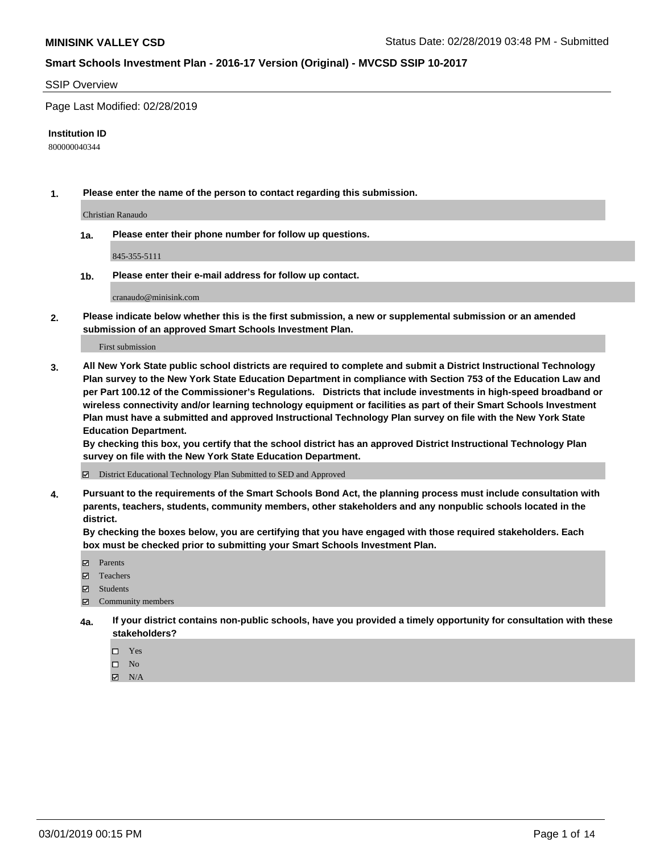#### SSIP Overview

Page Last Modified: 02/28/2019

#### **Institution ID**

800000040344

**1. Please enter the name of the person to contact regarding this submission.**

Christian Ranaudo

**1a. Please enter their phone number for follow up questions.**

845-355-5111

**1b. Please enter their e-mail address for follow up contact.**

cranaudo@minisink.com

**2. Please indicate below whether this is the first submission, a new or supplemental submission or an amended submission of an approved Smart Schools Investment Plan.**

First submission

**3. All New York State public school districts are required to complete and submit a District Instructional Technology Plan survey to the New York State Education Department in compliance with Section 753 of the Education Law and per Part 100.12 of the Commissioner's Regulations. Districts that include investments in high-speed broadband or wireless connectivity and/or learning technology equipment or facilities as part of their Smart Schools Investment Plan must have a submitted and approved Instructional Technology Plan survey on file with the New York State Education Department.** 

**By checking this box, you certify that the school district has an approved District Instructional Technology Plan survey on file with the New York State Education Department.**

District Educational Technology Plan Submitted to SED and Approved

**4. Pursuant to the requirements of the Smart Schools Bond Act, the planning process must include consultation with parents, teachers, students, community members, other stakeholders and any nonpublic schools located in the district.** 

**By checking the boxes below, you are certifying that you have engaged with those required stakeholders. Each box must be checked prior to submitting your Smart Schools Investment Plan.**

- **□** Parents
- Teachers
- Students
- $\boxtimes$  Community members
- **4a. If your district contains non-public schools, have you provided a timely opportunity for consultation with these stakeholders?**
	- $\Box$  Yes
	- $\qquad \qquad$  No
	- $\blacksquare$  N/A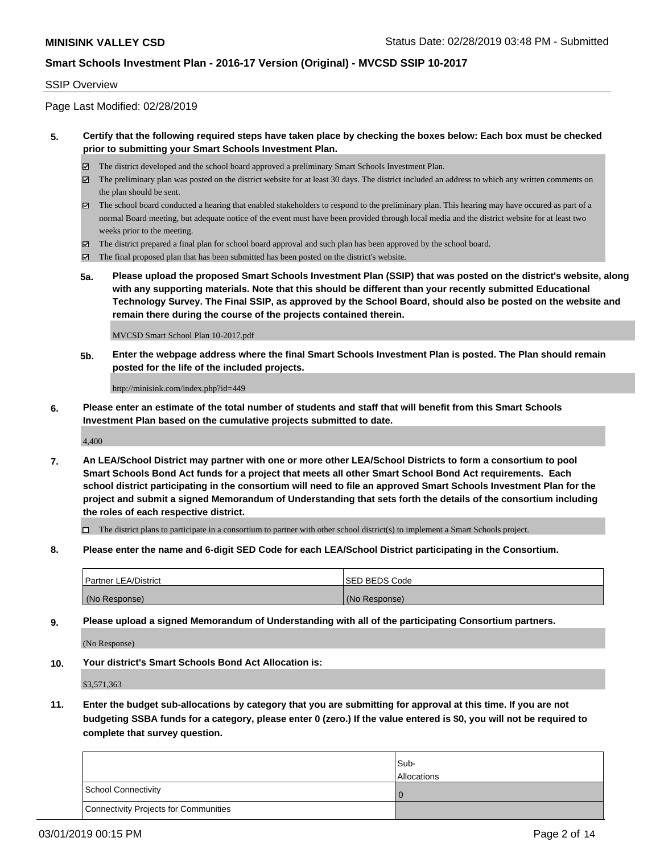#### SSIP Overview

Page Last Modified: 02/28/2019

#### **5. Certify that the following required steps have taken place by checking the boxes below: Each box must be checked prior to submitting your Smart Schools Investment Plan.**

- The district developed and the school board approved a preliminary Smart Schools Investment Plan.
- $\boxtimes$  The preliminary plan was posted on the district website for at least 30 days. The district included an address to which any written comments on the plan should be sent.
- $\boxtimes$  The school board conducted a hearing that enabled stakeholders to respond to the preliminary plan. This hearing may have occured as part of a normal Board meeting, but adequate notice of the event must have been provided through local media and the district website for at least two weeks prior to the meeting.
- The district prepared a final plan for school board approval and such plan has been approved by the school board.
- $\boxtimes$  The final proposed plan that has been submitted has been posted on the district's website.
- **5a. Please upload the proposed Smart Schools Investment Plan (SSIP) that was posted on the district's website, along with any supporting materials. Note that this should be different than your recently submitted Educational Technology Survey. The Final SSIP, as approved by the School Board, should also be posted on the website and remain there during the course of the projects contained therein.**

MVCSD Smart School Plan 10-2017.pdf

**5b. Enter the webpage address where the final Smart Schools Investment Plan is posted. The Plan should remain posted for the life of the included projects.**

http://minisink.com/index.php?id=449

**6. Please enter an estimate of the total number of students and staff that will benefit from this Smart Schools Investment Plan based on the cumulative projects submitted to date.**

4,400

**7. An LEA/School District may partner with one or more other LEA/School Districts to form a consortium to pool Smart Schools Bond Act funds for a project that meets all other Smart School Bond Act requirements. Each school district participating in the consortium will need to file an approved Smart Schools Investment Plan for the project and submit a signed Memorandum of Understanding that sets forth the details of the consortium including the roles of each respective district.**

 $\Box$  The district plans to participate in a consortium to partner with other school district(s) to implement a Smart Schools project.

**8. Please enter the name and 6-digit SED Code for each LEA/School District participating in the Consortium.**

| <b>Partner LEA/District</b> | <b>ISED BEDS Code</b> |
|-----------------------------|-----------------------|
| (No Response)               | (No Response)         |

**9. Please upload a signed Memorandum of Understanding with all of the participating Consortium partners.**

(No Response)

**10. Your district's Smart Schools Bond Act Allocation is:**

\$3,571,363

**11. Enter the budget sub-allocations by category that you are submitting for approval at this time. If you are not budgeting SSBA funds for a category, please enter 0 (zero.) If the value entered is \$0, you will not be required to complete that survey question.**

|                                       | Sub-<br><b>Allocations</b> |
|---------------------------------------|----------------------------|
| School Connectivity                   |                            |
| Connectivity Projects for Communities |                            |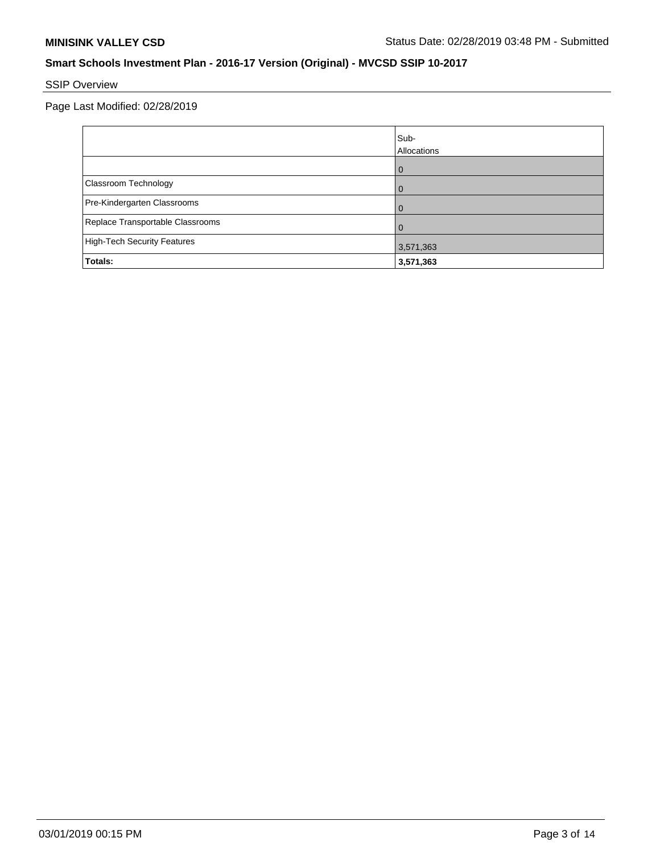# SSIP Overview

|                                    | Sub-<br>Allocations |
|------------------------------------|---------------------|
|                                    | $\mathbf{U}$        |
| Classroom Technology               |                     |
| Pre-Kindergarten Classrooms        |                     |
| Replace Transportable Classrooms   |                     |
| <b>High-Tech Security Features</b> | 3,571,363           |
| Totals:                            | 3,571,363           |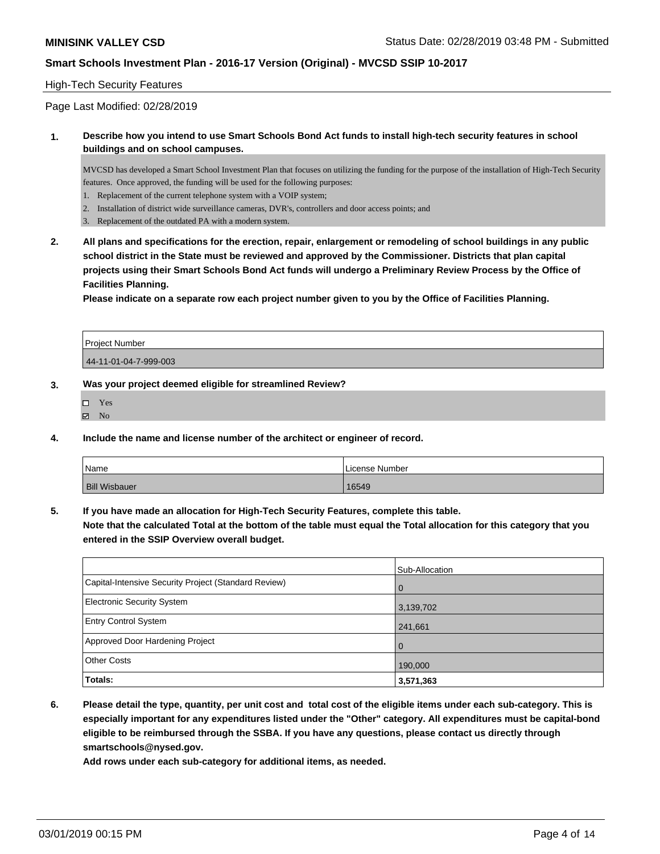#### High-Tech Security Features

Page Last Modified: 02/28/2019

#### **1. Describe how you intend to use Smart Schools Bond Act funds to install high-tech security features in school buildings and on school campuses.**

MVCSD has developed a Smart School Investment Plan that focuses on utilizing the funding for the purpose of the installation of High-Tech Security features. Once approved, the funding will be used for the following purposes:

- 1. Replacement of the current telephone system with a VOIP system;
- 2. Installation of district wide surveillance cameras, DVR's, controllers and door access points; and
- 3. Replacement of the outdated PA with a modern system.
- **2. All plans and specifications for the erection, repair, enlargement or remodeling of school buildings in any public school district in the State must be reviewed and approved by the Commissioner. Districts that plan capital projects using their Smart Schools Bond Act funds will undergo a Preliminary Review Process by the Office of Facilities Planning.**

**Please indicate on a separate row each project number given to you by the Office of Facilities Planning.**

| <b>Project Number</b> |  |
|-----------------------|--|
| 44-11-01-04-7-999-003 |  |

#### **3. Was your project deemed eligible for streamlined Review?**

| П | Yes |
|---|-----|
| ⊽ | No  |

**4. Include the name and license number of the architect or engineer of record.**

| Name                 | License Number |
|----------------------|----------------|
| <b>Bill Wisbauer</b> | 16549          |

**5. If you have made an allocation for High-Tech Security Features, complete this table.**

**Note that the calculated Total at the bottom of the table must equal the Total allocation for this category that you entered in the SSIP Overview overall budget.**

|                                                      | Sub-Allocation |
|------------------------------------------------------|----------------|
| Capital-Intensive Security Project (Standard Review) | l 0            |
| Electronic Security System                           | 3,139,702      |
| <b>Entry Control System</b>                          | 241,661        |
| Approved Door Hardening Project                      | $\cap$         |
| <b>Other Costs</b>                                   | 190,000        |
| Totals:                                              | 3,571,363      |

**6. Please detail the type, quantity, per unit cost and total cost of the eligible items under each sub-category. This is especially important for any expenditures listed under the "Other" category. All expenditures must be capital-bond eligible to be reimbursed through the SSBA. If you have any questions, please contact us directly through smartschools@nysed.gov.**

**Add rows under each sub-category for additional items, as needed.**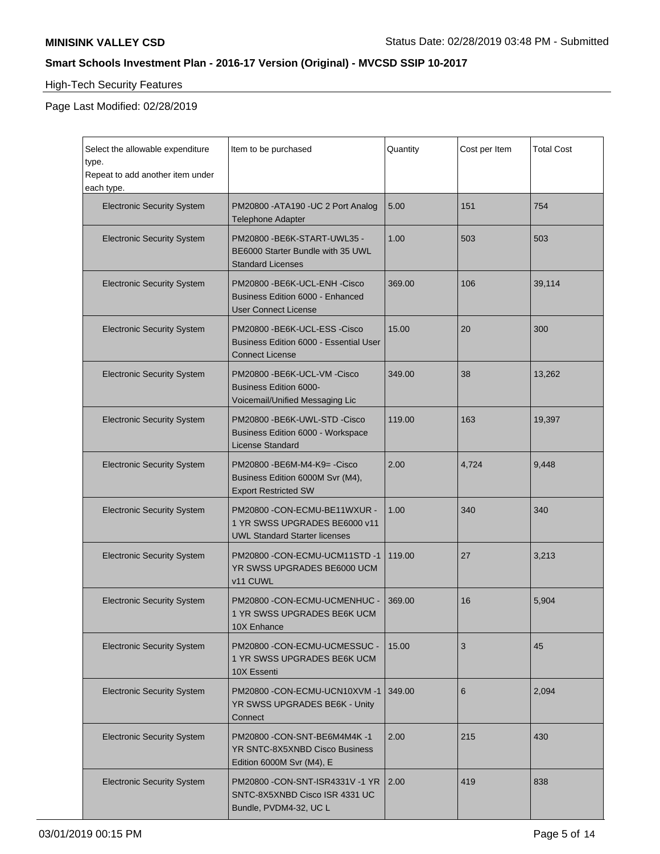$\blacksquare$ 

### **Smart Schools Investment Plan - 2016-17 Version (Original) - MVCSD SSIP 10-2017**

# High-Tech Security Features

| Select the allowable expenditure<br>type.<br>Repeat to add another item under<br>each type. | Item to be purchased                                                                                    | Quantity | Cost per Item | <b>Total Cost</b> |
|---------------------------------------------------------------------------------------------|---------------------------------------------------------------------------------------------------------|----------|---------------|-------------------|
| <b>Electronic Security System</b>                                                           | PM20800 - ATA190 - UC 2 Port Analog<br><b>Telephone Adapter</b>                                         | 5.00     | 151           | 754               |
| <b>Electronic Security System</b>                                                           | PM20800 - BE6K-START-UWL35 -<br>BE6000 Starter Bundle with 35 UWL<br><b>Standard Licenses</b>           | 1.00     | 503           | 503               |
| <b>Electronic Security System</b>                                                           | PM20800 -BE6K-UCL-ENH -Cisco<br><b>Business Edition 6000 - Enhanced</b><br><b>User Connect License</b>  | 369.00   | 106           | 39,114            |
| <b>Electronic Security System</b>                                                           | PM20800 -BE6K-UCL-ESS -Cisco<br><b>Business Edition 6000 - Essential User</b><br><b>Connect License</b> | 15.00    | 20            | 300               |
| <b>Electronic Security System</b>                                                           | PM20800 - BE6K-UCL-VM - Cisco<br><b>Business Edition 6000-</b><br>Voicemail/Unified Messaging Lic       | 349.00   | 38            | 13,262            |
| <b>Electronic Security System</b>                                                           | PM20800 - BE6K-UWL-STD - Cisco<br>Business Edition 6000 - Workspace<br><b>License Standard</b>          | 119.00   | 163           | 19,397            |
| <b>Electronic Security System</b>                                                           | PM20800 - BE6M-M4-K9= - Cisco<br>Business Edition 6000M Svr (M4),<br><b>Export Restricted SW</b>        | 2.00     | 4,724         | 9,448             |
| <b>Electronic Security System</b>                                                           | PM20800 -CON-ECMU-BE11WXUR -<br>1 YR SWSS UPGRADES BE6000 v11<br><b>UWL Standard Starter licenses</b>   | 1.00     | 340           | 340               |
| <b>Electronic Security System</b>                                                           | PM20800 -CON-ECMU-UCM11STD -1<br>YR SWSS UPGRADES BE6000 UCM<br>v11 CUWL                                | 119.00   | 27            | 3,213             |
| <b>Electronic Security System</b>                                                           | PM20800 -CON-ECMU-UCMENHUC -<br>1 YR SWSS UPGRADES BE6K UCM<br>10X Enhance                              | 369.00   | 16            | 5,904             |
| <b>Electronic Security System</b>                                                           | PM20800 -CON-ECMU-UCMESSUC -<br>1 YR SWSS UPGRADES BE6K UCM<br>10X Essenti                              | 15.00    | 3             | 45                |
| <b>Electronic Security System</b>                                                           | PM20800 -CON-ECMU-UCN10XVM -1<br>YR SWSS UPGRADES BE6K - Unity<br>Connect                               | 349.00   | 6             | 2,094             |
| <b>Electronic Security System</b>                                                           | PM20800 - CON-SNT-BE6M4M4K - 1<br>YR SNTC-8X5XNBD Cisco Business<br>Edition 6000M Svr (M4), E           | 2.00     | 215           | 430               |
| <b>Electronic Security System</b>                                                           | PM20800 - CON-SNT-ISR4331V - 1 YR<br>SNTC-8X5XNBD Cisco ISR 4331 UC<br>Bundle, PVDM4-32, UC L           | 2.00     | 419           | 838               |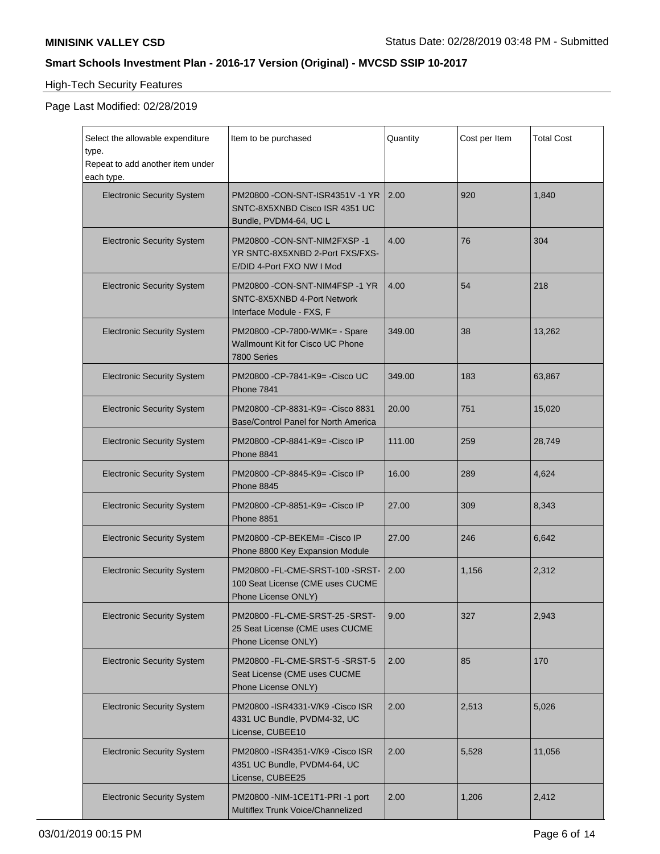# High-Tech Security Features

| Select the allowable expenditure<br>type.<br>Repeat to add another item under<br>each type. | Item to be purchased                                                                           | Quantity | Cost per Item | <b>Total Cost</b> |
|---------------------------------------------------------------------------------------------|------------------------------------------------------------------------------------------------|----------|---------------|-------------------|
| <b>Electronic Security System</b>                                                           | PM20800 - CON-SNT-ISR4351V - 1 YR<br>SNTC-8X5XNBD Cisco ISR 4351 UC<br>Bundle, PVDM4-64, UC L  | 2.00     | 920           | 1,840             |
| <b>Electronic Security System</b>                                                           | PM20800 - CON-SNT-NIM2FXSP - 1<br>YR SNTC-8X5XNBD 2-Port FXS/FXS-<br>E/DID 4-Port FXO NW I Mod | 4.00     | 76            | 304               |
| <b>Electronic Security System</b>                                                           | PM20800 - CON-SNT-NIM4FSP - 1 YR<br>SNTC-8X5XNBD 4-Port Network<br>Interface Module - FXS, F   | 4.00     | 54            | 218               |
| <b>Electronic Security System</b>                                                           | PM20800 - CP-7800-WMK= - Spare<br><b>Wallmount Kit for Cisco UC Phone</b><br>7800 Series       | 349.00   | 38            | 13,262            |
| <b>Electronic Security System</b>                                                           | PM20800 - CP-7841-K9 = - Cisco UC<br>Phone 7841                                                | 349.00   | 183           | 63,867            |
| <b>Electronic Security System</b>                                                           | PM20800 - CP-8831-K9 = - Cisco 8831<br>Base/Control Panel for North America                    | 20.00    | 751           | 15,020            |
| <b>Electronic Security System</b>                                                           | PM20800 - CP-8841-K9 = - Cisco IP<br>Phone 8841                                                | 111.00   | 259           | 28,749            |
| <b>Electronic Security System</b>                                                           | PM20800 - CP-8845-K9 = - Cisco IP<br><b>Phone 8845</b>                                         | 16.00    | 289           | 4,624             |
| <b>Electronic Security System</b>                                                           | PM20800 - CP-8851-K9 = - Cisco IP<br><b>Phone 8851</b>                                         | 27.00    | 309           | 8,343             |
| <b>Electronic Security System</b>                                                           | PM20800 - CP-BEKEM = - Cisco IP<br>Phone 8800 Key Expansion Module                             | 27.00    | 246           | 6,642             |
| <b>Electronic Security System</b>                                                           | PM20800 - FL-CME-SRST-100 - SRST-<br>100 Seat License (CME uses CUCME<br>Phone License ONLY)   | 2.00     | 1,156         | 2,312             |
| <b>Electronic Security System</b>                                                           | PM20800 - FL-CME-SRST-25 - SRST-<br>25 Seat License (CME uses CUCME<br>Phone License ONLY)     | 9.00     | 327           | 2,943             |
| <b>Electronic Security System</b>                                                           | PM20800 - FL-CME-SRST-5 - SRST-5<br>Seat License (CME uses CUCME<br>Phone License ONLY)        | 2.00     | 85            | 170               |
| <b>Electronic Security System</b>                                                           | PM20800 - ISR4331-V/K9 - Cisco ISR<br>4331 UC Bundle, PVDM4-32, UC<br>License, CUBEE10         | 2.00     | 2,513         | 5,026             |
| <b>Electronic Security System</b>                                                           | PM20800 - ISR4351-V/K9 - Cisco ISR<br>4351 UC Bundle, PVDM4-64, UC<br>License, CUBEE25         | 2.00     | 5,528         | 11,056            |
| <b>Electronic Security System</b>                                                           | PM20800 - NIM-1CE1T1-PRI-1 port<br>Multiflex Trunk Voice/Channelized                           | 2.00     | 1,206         | 2,412             |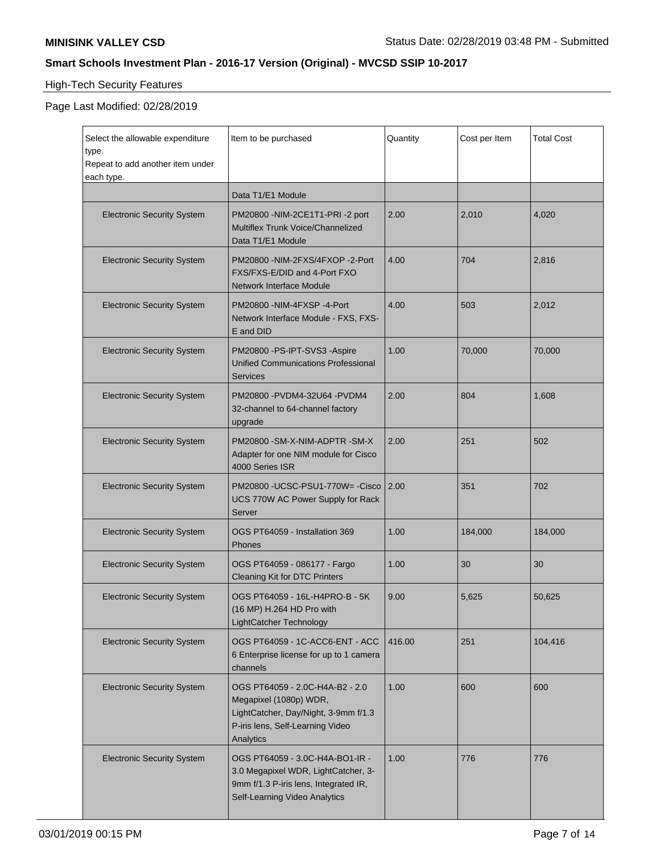# High-Tech Security Features

| Select the allowable expenditure<br>type.<br>Repeat to add another item under<br>each type. | Item to be purchased                                                                                                                               | Quantity | Cost per Item | <b>Total Cost</b> |
|---------------------------------------------------------------------------------------------|----------------------------------------------------------------------------------------------------------------------------------------------------|----------|---------------|-------------------|
|                                                                                             | Data T1/E1 Module                                                                                                                                  |          |               |                   |
| <b>Electronic Security System</b>                                                           | PM20800 - NIM-2CE1T1-PRI-2 port<br>Multiflex Trunk Voice/Channelized<br>Data T1/E1 Module                                                          | 2.00     | 2,010         | 4,020             |
| <b>Electronic Security System</b>                                                           | PM20800 -NIM-2FXS/4FXOP -2-Port<br>FXS/FXS-E/DID and 4-Port FXO<br>Network Interface Module                                                        | 4.00     | 704           | 2,816             |
| <b>Electronic Security System</b>                                                           | PM20800 -NIM-4FXSP -4-Port<br>Network Interface Module - FXS, FXS-<br>E and DID                                                                    | 4.00     | 503           | 2,012             |
| <b>Electronic Security System</b>                                                           | PM20800 -PS-IPT-SVS3 -Aspire<br><b>Unified Communications Professional</b><br>Services                                                             | 1.00     | 70,000        | 70,000            |
| <b>Electronic Security System</b>                                                           | PM20800 -PVDM4-32U64 -PVDM4<br>32-channel to 64-channel factory<br>upgrade                                                                         | 2.00     | 804           | 1,608             |
| <b>Electronic Security System</b>                                                           | PM20800 -SM-X-NIM-ADPTR -SM-X<br>Adapter for one NIM module for Cisco<br>4000 Series ISR                                                           | 2.00     | 251           | 502               |
| <b>Electronic Security System</b>                                                           | PM20800 -UCSC-PSU1-770W= -Cisco<br>UCS 770W AC Power Supply for Rack<br>Server                                                                     | 2.00     | 351           | 702               |
| <b>Electronic Security System</b>                                                           | OGS PT64059 - Installation 369<br>Phones                                                                                                           | 1.00     | 184,000       | 184,000           |
| <b>Electronic Security System</b>                                                           | OGS PT64059 - 086177 - Fargo<br><b>Cleaning Kit for DTC Printers</b>                                                                               | 1.00     | 30            | 30                |
| <b>Electronic Security System</b>                                                           | OGS PT64059 - 16L-H4PRO-B - 5K<br>(16 MP) H.264 HD Pro with<br>LightCatcher Technology                                                             | 9.00     | 5,625         | 50,625            |
| <b>Electronic Security System</b>                                                           | OGS PT64059 - 1C-ACC6-ENT - ACC<br>6 Enterprise license for up to 1 camera<br>channels                                                             | 416.00   | 251           | 104,416           |
| <b>Electronic Security System</b>                                                           | OGS PT64059 - 2.0C-H4A-B2 - 2.0<br>Megapixel (1080p) WDR,<br>LightCatcher, Day/Night, 3-9mm f/1.3<br>P-iris lens, Self-Learning Video<br>Analytics | 1.00     | 600           | 600               |
| <b>Electronic Security System</b>                                                           | OGS PT64059 - 3.0C-H4A-BO1-IR -<br>3.0 Megapixel WDR, LightCatcher, 3-<br>9mm f/1.3 P-iris lens, Integrated IR,<br>Self-Learning Video Analytics   | 1.00     | 776           | 776               |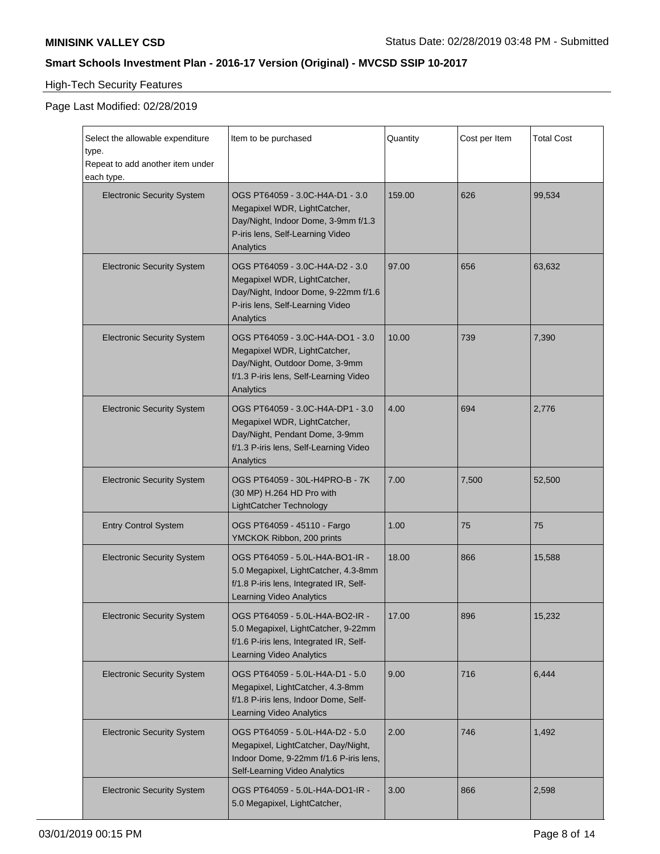# High-Tech Security Features

| Select the allowable expenditure<br>type.<br>Repeat to add another item under<br>each type. | Item to be purchased                                                                                                                                      | Quantity | Cost per Item | <b>Total Cost</b> |
|---------------------------------------------------------------------------------------------|-----------------------------------------------------------------------------------------------------------------------------------------------------------|----------|---------------|-------------------|
| <b>Electronic Security System</b>                                                           | OGS PT64059 - 3.0C-H4A-D1 - 3.0<br>Megapixel WDR, LightCatcher,<br>Day/Night, Indoor Dome, 3-9mm f/1.3<br>P-iris lens, Self-Learning Video<br>Analytics   | 159.00   | 626           | 99,534            |
| <b>Electronic Security System</b>                                                           | OGS PT64059 - 3.0C-H4A-D2 - 3.0<br>Megapixel WDR, LightCatcher,<br>Day/Night, Indoor Dome, 9-22mm f/1.6<br>P-iris lens, Self-Learning Video<br>Analytics  | 97.00    | 656           | 63,632            |
| <b>Electronic Security System</b>                                                           | OGS PT64059 - 3.0C-H4A-DO1 - 3.0<br>Megapixel WDR, LightCatcher,<br>Day/Night, Outdoor Dome, 3-9mm<br>f/1.3 P-iris lens, Self-Learning Video<br>Analytics | 10.00    | 739           | 7,390             |
| <b>Electronic Security System</b>                                                           | OGS PT64059 - 3.0C-H4A-DP1 - 3.0<br>Megapixel WDR, LightCatcher,<br>Day/Night, Pendant Dome, 3-9mm<br>f/1.3 P-iris lens, Self-Learning Video<br>Analytics | 4.00     | 694           | 2,776             |
| <b>Electronic Security System</b>                                                           | OGS PT64059 - 30L-H4PRO-B - 7K<br>(30 MP) H.264 HD Pro with<br>LightCatcher Technology                                                                    | 7.00     | 7,500         | 52,500            |
| <b>Entry Control System</b>                                                                 | OGS PT64059 - 45110 - Fargo<br>YMCKOK Ribbon, 200 prints                                                                                                  | 1.00     | 75            | 75                |
| <b>Electronic Security System</b>                                                           | OGS PT64059 - 5.0L-H4A-BO1-IR -<br>5.0 Megapixel, LightCatcher, 4.3-8mm<br>f/1.8 P-iris lens, Integrated IR, Self-<br>Learning Video Analytics            | 18.00    | 866           | 15,588            |
| <b>Electronic Security System</b>                                                           | OGS PT64059 - 5.0L-H4A-BO2-IR -<br>5.0 Megapixel, LightCatcher, 9-22mm<br>f/1.6 P-iris lens, Integrated IR, Self-<br>Learning Video Analytics             | 17.00    | 896           | 15,232            |
| <b>Electronic Security System</b>                                                           | OGS PT64059 - 5.0L-H4A-D1 - 5.0<br>Megapixel, LightCatcher, 4.3-8mm<br>f/1.8 P-iris lens, Indoor Dome, Self-<br>Learning Video Analytics                  | 9.00     | 716           | 6,444             |
| <b>Electronic Security System</b>                                                           | OGS PT64059 - 5.0L-H4A-D2 - 5.0<br>Megapixel, LightCatcher, Day/Night,<br>Indoor Dome, 9-22mm f/1.6 P-iris lens,<br>Self-Learning Video Analytics         | 2.00     | 746           | 1,492             |
| <b>Electronic Security System</b>                                                           | OGS PT64059 - 5.0L-H4A-DO1-IR -<br>5.0 Megapixel, LightCatcher,                                                                                           | 3.00     | 866           | 2,598             |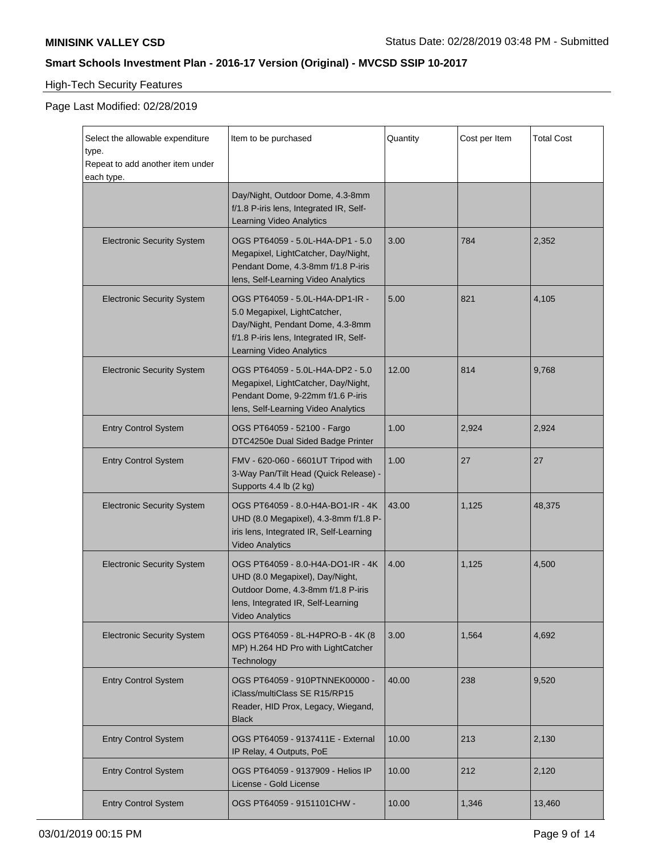# High-Tech Security Features

| Select the allowable expenditure<br>type.<br>Repeat to add another item under<br>each type. | Item to be purchased                                                                                                                                                       | Quantity | Cost per Item | <b>Total Cost</b> |
|---------------------------------------------------------------------------------------------|----------------------------------------------------------------------------------------------------------------------------------------------------------------------------|----------|---------------|-------------------|
|                                                                                             | Day/Night, Outdoor Dome, 4.3-8mm<br>f/1.8 P-iris lens, Integrated IR, Self-<br>Learning Video Analytics                                                                    |          |               |                   |
| <b>Electronic Security System</b>                                                           | OGS PT64059 - 5.0L-H4A-DP1 - 5.0<br>Megapixel, LightCatcher, Day/Night,<br>Pendant Dome, 4.3-8mm f/1.8 P-iris<br>lens, Self-Learning Video Analytics                       | 3.00     | 784           | 2,352             |
| <b>Electronic Security System</b>                                                           | OGS PT64059 - 5.0L-H4A-DP1-IR -<br>5.0 Megapixel, LightCatcher,<br>Day/Night, Pendant Dome, 4.3-8mm<br>f/1.8 P-iris lens, Integrated IR, Self-<br>Learning Video Analytics | 5.00     | 821           | 4,105             |
| <b>Electronic Security System</b>                                                           | OGS PT64059 - 5.0L-H4A-DP2 - 5.0<br>Megapixel, LightCatcher, Day/Night,<br>Pendant Dome, 9-22mm f/1.6 P-iris<br>lens, Self-Learning Video Analytics                        | 12.00    | 814           | 9,768             |
| <b>Entry Control System</b>                                                                 | OGS PT64059 - 52100 - Fargo<br>DTC4250e Dual Sided Badge Printer                                                                                                           | 1.00     | 2,924         | 2,924             |
| <b>Entry Control System</b>                                                                 | FMV - 620-060 - 6601UT Tripod with<br>3-Way Pan/Tilt Head (Quick Release) -<br>Supports 4.4 lb (2 kg)                                                                      | 1.00     | 27            | 27                |
| <b>Electronic Security System</b>                                                           | OGS PT64059 - 8.0-H4A-BO1-IR - 4K<br>UHD (8.0 Megapixel), 4.3-8mm f/1.8 P-<br>iris lens, Integrated IR, Self-Learning<br><b>Video Analytics</b>                            | 43.00    | 1,125         | 48,375            |
| <b>Electronic Security System</b>                                                           | OGS PT64059 - 8.0-H4A-DO1-IR - 4K<br>UHD (8.0 Megapixel), Day/Night,<br>Outdoor Dome, 4.3-8mm f/1.8 P-iris<br>lens, Integrated IR, Self-Learning<br><b>Video Analytics</b> | 4.00     | 1,125         | 4,500             |
| <b>Electronic Security System</b>                                                           | OGS PT64059 - 8L-H4PRO-B - 4K (8<br>MP) H.264 HD Pro with LightCatcher<br>Technology                                                                                       | 3.00     | 1,564         | 4,692             |
| <b>Entry Control System</b>                                                                 | OGS PT64059 - 910PTNNEK00000 -<br>iClass/multiClass SE R15/RP15<br>Reader, HID Prox, Legacy, Wiegand,<br><b>Black</b>                                                      | 40.00    | 238           | 9,520             |
| <b>Entry Control System</b>                                                                 | OGS PT64059 - 9137411E - External<br>IP Relay, 4 Outputs, PoE                                                                                                              | 10.00    | 213           | 2,130             |
| <b>Entry Control System</b>                                                                 | OGS PT64059 - 9137909 - Helios IP<br>License - Gold License                                                                                                                | 10.00    | 212           | 2,120             |
| <b>Entry Control System</b>                                                                 | OGS PT64059 - 9151101CHW -                                                                                                                                                 | 10.00    | 1,346         | 13,460            |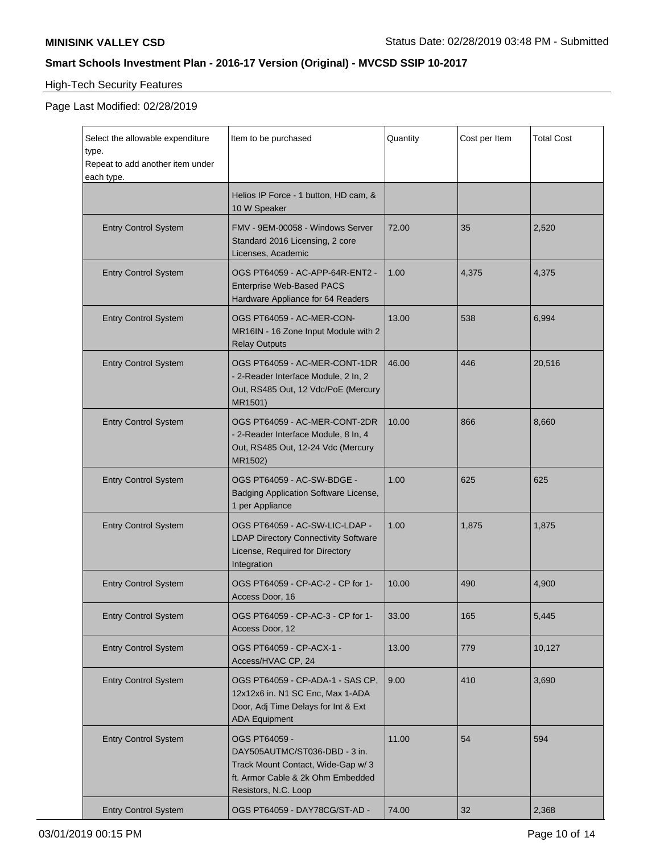# High-Tech Security Features

| Select the allowable expenditure<br>type.<br>Repeat to add another item under | Item to be purchased                                                                                                                             | Quantity | Cost per Item | <b>Total Cost</b> |
|-------------------------------------------------------------------------------|--------------------------------------------------------------------------------------------------------------------------------------------------|----------|---------------|-------------------|
| each type.                                                                    | Helios IP Force - 1 button, HD cam, &<br>10 W Speaker                                                                                            |          |               |                   |
| <b>Entry Control System</b>                                                   | FMV - 9EM-00058 - Windows Server<br>Standard 2016 Licensing, 2 core<br>Licenses, Academic                                                        | 72.00    | 35            | 2,520             |
| <b>Entry Control System</b>                                                   | OGS PT64059 - AC-APP-64R-ENT2 -<br>Enterprise Web-Based PACS<br>Hardware Appliance for 64 Readers                                                | 1.00     | 4,375         | 4,375             |
| <b>Entry Control System</b>                                                   | OGS PT64059 - AC-MER-CON-<br>MR16IN - 16 Zone Input Module with 2<br><b>Relay Outputs</b>                                                        | 13.00    | 538           | 6,994             |
| <b>Entry Control System</b>                                                   | OGS PT64059 - AC-MER-CONT-1DR<br>- 2-Reader Interface Module, 2 In, 2<br>Out, RS485 Out, 12 Vdc/PoE (Mercury<br>MR1501)                          | 46.00    | 446           | 20,516            |
| <b>Entry Control System</b>                                                   | OGS PT64059 - AC-MER-CONT-2DR<br>- 2-Reader Interface Module, 8 In, 4<br>Out, RS485 Out, 12-24 Vdc (Mercury<br>MR1502)                           | 10.00    | 866           | 8,660             |
| <b>Entry Control System</b>                                                   | OGS PT64059 - AC-SW-BDGE -<br>Badging Application Software License,<br>1 per Appliance                                                           | 1.00     | 625           | 625               |
| <b>Entry Control System</b>                                                   | OGS PT64059 - AC-SW-LIC-LDAP -<br><b>LDAP Directory Connectivity Software</b><br>License, Required for Directory<br>Integration                  | 1.00     | 1,875         | 1,875             |
| <b>Entry Control System</b>                                                   | OGS PT64059 - CP-AC-2 - CP for 1-<br>Access Door, 16                                                                                             | 10.00    | 490           | 4,900             |
| <b>Entry Control System</b>                                                   | OGS PT64059 - CP-AC-3 - CP for 1-<br>Access Door, 12                                                                                             | 33.00    | 165           | 5,445             |
| <b>Entry Control System</b>                                                   | OGS PT64059 - CP-ACX-1 -<br>Access/HVAC CP, 24                                                                                                   | 13.00    | 779           | 10,127            |
| <b>Entry Control System</b>                                                   | OGS PT64059 - CP-ADA-1 - SAS CP,<br>12x12x6 in. N1 SC Enc, Max 1-ADA<br>Door, Adj Time Delays for Int & Ext<br><b>ADA Equipment</b>              | 9.00     | 410           | 3,690             |
| <b>Entry Control System</b>                                                   | OGS PT64059 -<br>DAY505AUTMC/ST036-DBD - 3 in.<br>Track Mount Contact, Wide-Gap w/3<br>ft. Armor Cable & 2k Ohm Embedded<br>Resistors, N.C. Loop | 11.00    | 54            | 594               |
| <b>Entry Control System</b>                                                   | OGS PT64059 - DAY78CG/ST-AD -                                                                                                                    | 74.00    | 32            | 2,368             |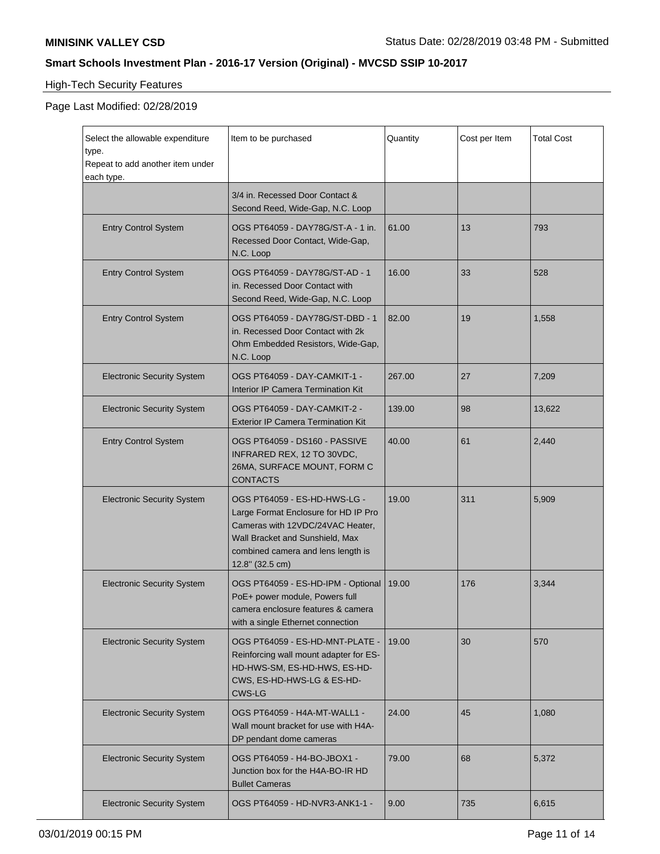# High-Tech Security Features

| Select the allowable expenditure<br>type.<br>Repeat to add another item under<br>each type. | Item to be purchased                                                                                                                                                                                 | Quantity | Cost per Item | <b>Total Cost</b> |
|---------------------------------------------------------------------------------------------|------------------------------------------------------------------------------------------------------------------------------------------------------------------------------------------------------|----------|---------------|-------------------|
|                                                                                             | 3/4 in. Recessed Door Contact &<br>Second Reed, Wide-Gap, N.C. Loop                                                                                                                                  |          |               |                   |
| <b>Entry Control System</b>                                                                 | OGS PT64059 - DAY78G/ST-A - 1 in.<br>Recessed Door Contact, Wide-Gap,<br>N.C. Loop                                                                                                                   | 61.00    | 13            | 793               |
| <b>Entry Control System</b>                                                                 | OGS PT64059 - DAY78G/ST-AD - 1<br>in. Recessed Door Contact with<br>Second Reed, Wide-Gap, N.C. Loop                                                                                                 | 16.00    | 33            | 528               |
| <b>Entry Control System</b>                                                                 | OGS PT64059 - DAY78G/ST-DBD - 1<br>in. Recessed Door Contact with 2k<br>Ohm Embedded Resistors, Wide-Gap,<br>N.C. Loop                                                                               | 82.00    | 19            | 1,558             |
| <b>Electronic Security System</b>                                                           | OGS PT64059 - DAY-CAMKIT-1 -<br>Interior IP Camera Termination Kit                                                                                                                                   | 267.00   | 27            | 7,209             |
| <b>Electronic Security System</b>                                                           | OGS PT64059 - DAY-CAMKIT-2 -<br><b>Exterior IP Camera Termination Kit</b>                                                                                                                            | 139.00   | 98            | 13,622            |
| <b>Entry Control System</b>                                                                 | OGS PT64059 - DS160 - PASSIVE<br>INFRARED REX, 12 TO 30VDC,<br>26MA, SURFACE MOUNT, FORM C<br><b>CONTACTS</b>                                                                                        | 40.00    | 61            | 2,440             |
| <b>Electronic Security System</b>                                                           | OGS PT64059 - ES-HD-HWS-LG -<br>Large Format Enclosure for HD IP Pro<br>Cameras with 12VDC/24VAC Heater,<br>Wall Bracket and Sunshield, Max<br>combined camera and lens length is<br>12.8" (32.5 cm) | 19.00    | 311           | 5,909             |
| <b>Electronic Security System</b>                                                           | OGS PT64059 - ES-HD-IPM - Optional<br>PoE+ power module, Powers full<br>camera enclosure features & camera<br>with a single Ethernet connection                                                      | 19.00    | 176           | 3,344             |
| <b>Electronic Security System</b>                                                           | OGS PT64059 - ES-HD-MNT-PLATE -<br>Reinforcing wall mount adapter for ES-<br>HD-HWS-SM, ES-HD-HWS, ES-HD-<br>CWS, ES-HD-HWS-LG & ES-HD-<br><b>CWS-LG</b>                                             | 19.00    | 30            | 570               |
| <b>Electronic Security System</b>                                                           | OGS PT64059 - H4A-MT-WALL1 -<br>Wall mount bracket for use with H4A-<br>DP pendant dome cameras                                                                                                      | 24.00    | 45            | 1,080             |
| <b>Electronic Security System</b>                                                           | OGS PT64059 - H4-BO-JBOX1 -<br>Junction box for the H4A-BO-IR HD<br><b>Bullet Cameras</b>                                                                                                            | 79.00    | 68            | 5,372             |
| <b>Electronic Security System</b>                                                           | OGS PT64059 - HD-NVR3-ANK1-1 -                                                                                                                                                                       | 9.00     | 735           | 6,615             |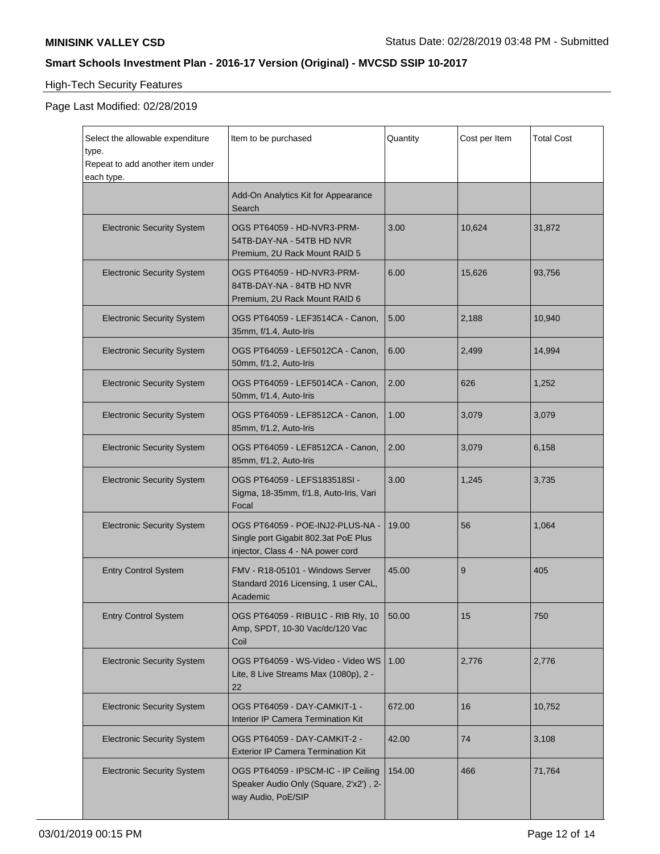# High-Tech Security Features

| Select the allowable expenditure<br>type.<br>Repeat to add another item under<br>each type. | Item to be purchased                                                                                          | Quantity | Cost per Item | <b>Total Cost</b> |
|---------------------------------------------------------------------------------------------|---------------------------------------------------------------------------------------------------------------|----------|---------------|-------------------|
|                                                                                             | Add-On Analytics Kit for Appearance<br>Search                                                                 |          |               |                   |
| <b>Electronic Security System</b>                                                           | OGS PT64059 - HD-NVR3-PRM-<br>54TB-DAY-NA - 54TB HD NVR<br>Premium, 2U Rack Mount RAID 5                      | 3.00     | 10,624        | 31,872            |
| <b>Electronic Security System</b>                                                           | OGS PT64059 - HD-NVR3-PRM-<br>84TB-DAY-NA - 84TB HD NVR<br>Premium, 2U Rack Mount RAID 6                      | 6.00     | 15.626        | 93,756            |
| <b>Electronic Security System</b>                                                           | OGS PT64059 - LEF3514CA - Canon,<br>35mm, f/1.4, Auto-Iris                                                    | 5.00     | 2,188         | 10,940            |
| <b>Electronic Security System</b>                                                           | OGS PT64059 - LEF5012CA - Canon.<br>50mm, f/1.2, Auto-Iris                                                    | 6.00     | 2,499         | 14.994            |
| <b>Electronic Security System</b>                                                           | OGS PT64059 - LEF5014CA - Canon,<br>50mm, f/1.4, Auto-Iris                                                    | 2.00     | 626           | 1,252             |
| <b>Electronic Security System</b>                                                           | OGS PT64059 - LEF8512CA - Canon,<br>85mm, f/1.2, Auto-Iris                                                    | 1.00     | 3,079         | 3,079             |
| <b>Electronic Security System</b>                                                           | OGS PT64059 - LEF8512CA - Canon,<br>85mm, f/1.2, Auto-Iris                                                    | 2.00     | 3,079         | 6,158             |
| <b>Electronic Security System</b>                                                           | OGS PT64059 - LEFS183518SI -<br>Sigma, 18-35mm, f/1.8, Auto-Iris, Vari<br>Focal                               | 3.00     | 1,245         | 3,735             |
| <b>Electronic Security System</b>                                                           | OGS PT64059 - POE-INJ2-PLUS-NA -<br>Single port Gigabit 802.3at PoE Plus<br>injector, Class 4 - NA power cord | 19.00    | 56            | 1,064             |
| <b>Entry Control System</b>                                                                 | FMV - R18-05101 - Windows Server<br>Standard 2016 Licensing, 1 user CAL,<br>Academic                          | 45.00    | 9             | 405               |
| <b>Entry Control System</b>                                                                 | OGS PT64059 - RIBU1C - RIB Rly, 10<br>Amp, SPDT, 10-30 Vac/dc/120 Vac<br>Coil                                 | 50.00    | 15            | 750               |
| <b>Electronic Security System</b>                                                           | OGS PT64059 - WS-Video - Video WS<br>Lite, 8 Live Streams Max (1080p), 2 -<br>22                              | 1.00     | 2,776         | 2,776             |
| <b>Electronic Security System</b>                                                           | OGS PT64059 - DAY-CAMKIT-1 -<br>Interior IP Camera Termination Kit                                            | 672.00   | 16            | 10,752            |
| <b>Electronic Security System</b>                                                           | OGS PT64059 - DAY-CAMKIT-2 -<br><b>Exterior IP Camera Termination Kit</b>                                     | 42.00    | 74            | 3,108             |
| <b>Electronic Security System</b>                                                           | OGS PT64059 - IPSCM-IC - IP Ceiling<br>Speaker Audio Only (Square, 2'x2'), 2-<br>way Audio, PoE/SIP           | 154.00   | 466           | 71,764            |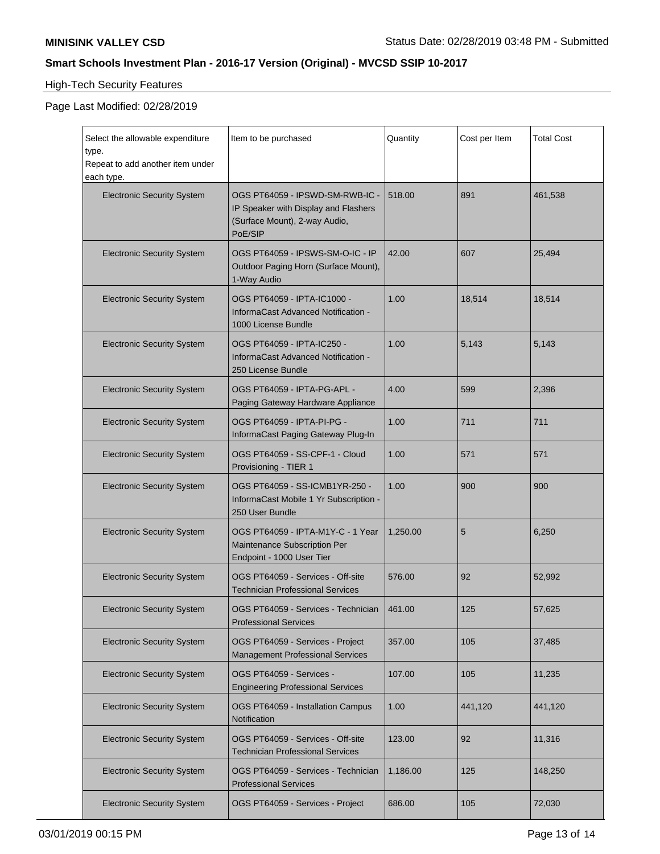# High-Tech Security Features

| Select the allowable expenditure<br>type.<br>Repeat to add another item under<br>each type. | Item to be purchased                                                                                                | Quantity | Cost per Item | <b>Total Cost</b> |
|---------------------------------------------------------------------------------------------|---------------------------------------------------------------------------------------------------------------------|----------|---------------|-------------------|
| <b>Electronic Security System</b>                                                           | OGS PT64059 - IPSWD-SM-RWB-IC -<br>IP Speaker with Display and Flashers<br>(Surface Mount), 2-way Audio,<br>PoE/SIP | 518.00   | 891           | 461,538           |
| <b>Electronic Security System</b>                                                           | OGS PT64059 - IPSWS-SM-O-IC - IP<br>Outdoor Paging Horn (Surface Mount),<br>1-Way Audio                             | 42.00    | 607           | 25,494            |
| <b>Electronic Security System</b>                                                           | OGS PT64059 - IPTA-IC1000 -<br>InformaCast Advanced Notification -<br>1000 License Bundle                           | 1.00     | 18,514        | 18,514            |
| <b>Electronic Security System</b>                                                           | OGS PT64059 - IPTA-IC250 -<br>InformaCast Advanced Notification -<br>250 License Bundle                             | 1.00     | 5.143         | 5,143             |
| <b>Electronic Security System</b>                                                           | OGS PT64059 - IPTA-PG-APL -<br>Paging Gateway Hardware Appliance                                                    | 4.00     | 599           | 2,396             |
| <b>Electronic Security System</b>                                                           | OGS PT64059 - IPTA-PI-PG -<br>InformaCast Paging Gateway Plug-In                                                    | 1.00     | 711           | 711               |
| <b>Electronic Security System</b>                                                           | OGS PT64059 - SS-CPF-1 - Cloud<br>Provisioning - TIER 1                                                             | 1.00     | 571           | 571               |
| <b>Electronic Security System</b>                                                           | OGS PT64059 - SS-ICMB1YR-250 -<br>InformaCast Mobile 1 Yr Subscription -<br>250 User Bundle                         | 1.00     | 900           | 900               |
| <b>Electronic Security System</b>                                                           | OGS PT64059 - IPTA-M1Y-C - 1 Year<br>Maintenance Subscription Per<br>Endpoint - 1000 User Tier                      | 1,250.00 | 5             | 6,250             |
| <b>Electronic Security System</b>                                                           | OGS PT64059 - Services - Off-site<br><b>Technician Professional Services</b>                                        | 576.00   | 92            | 52,992            |
| <b>Electronic Security System</b>                                                           | OGS PT64059 - Services - Technician<br><b>Professional Services</b>                                                 | 461.00   | 125           | 57,625            |
| <b>Electronic Security System</b>                                                           | OGS PT64059 - Services - Project<br><b>Management Professional Services</b>                                         | 357.00   | 105           | 37,485            |
| <b>Electronic Security System</b>                                                           | OGS PT64059 - Services -<br><b>Engineering Professional Services</b>                                                | 107.00   | 105           | 11,235            |
| <b>Electronic Security System</b>                                                           | OGS PT64059 - Installation Campus<br>Notification                                                                   | 1.00     | 441,120       | 441,120           |
| <b>Electronic Security System</b>                                                           | OGS PT64059 - Services - Off-site<br><b>Technician Professional Services</b>                                        | 123.00   | 92            | 11,316            |
| <b>Electronic Security System</b>                                                           | OGS PT64059 - Services - Technician<br><b>Professional Services</b>                                                 | 1,186.00 | 125           | 148,250           |
| <b>Electronic Security System</b>                                                           | OGS PT64059 - Services - Project                                                                                    | 686.00   | 105           | 72,030            |